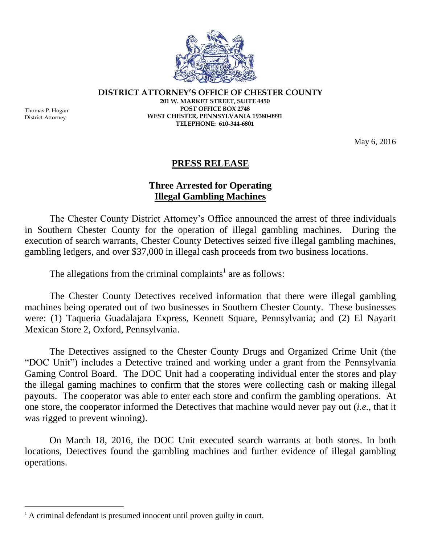

**DISTRICT ATTORNEY'S OFFICE OF CHESTER COUNTY**

Thomas P. Hogan District Attorney

 $\overline{a}$ 

**201 W. MARKET STREET, SUITE 4450 POST OFFICE BOX 2748 WEST CHESTER, PENNSYLVANIA 19380-0991 TELEPHONE: 610-344-6801**

May 6, 2016

## **PRESS RELEASE**

## **Three Arrested for Operating Illegal Gambling Machines**

The Chester County District Attorney's Office announced the arrest of three individuals in Southern Chester County for the operation of illegal gambling machines. During the execution of search warrants, Chester County Detectives seized five illegal gambling machines, gambling ledgers, and over \$37,000 in illegal cash proceeds from two business locations.

The allegations from the criminal complaints<sup>1</sup> are as follows:

The Chester County Detectives received information that there were illegal gambling machines being operated out of two businesses in Southern Chester County. These businesses were: (1) Taqueria Guadalajara Express, Kennett Square, Pennsylvania; and (2) El Nayarit Mexican Store 2, Oxford, Pennsylvania.

The Detectives assigned to the Chester County Drugs and Organized Crime Unit (the "DOC Unit") includes a Detective trained and working under a grant from the Pennsylvania Gaming Control Board. The DOC Unit had a cooperating individual enter the stores and play the illegal gaming machines to confirm that the stores were collecting cash or making illegal payouts. The cooperator was able to enter each store and confirm the gambling operations. At one store, the cooperator informed the Detectives that machine would never pay out (*i.e.*, that it was rigged to prevent winning).

On March 18, 2016, the DOC Unit executed search warrants at both stores. In both locations, Detectives found the gambling machines and further evidence of illegal gambling operations.

 $<sup>1</sup>$  A criminal defendant is presumed innocent until proven guilty in court.</sup>